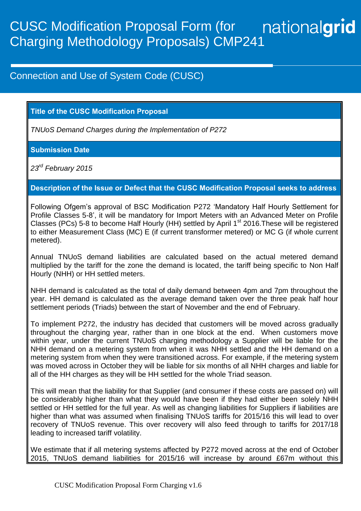## nationalgrid CUSC Modification Proposal Form (for Charging Methodology Proposals) CMP241

## Connection and Use of System Code (CUSC)

## **Title of the CUSC Modification Proposal**

*TNUoS Demand Charges during the Implementation of P272*

#### **Submission Date**

*23rd February 2015*

## **Description of the Issue or Defect that the CUSC Modification Proposal seeks to address**

Following Ofgem's approval of BSC Modification P272 'Mandatory Half Hourly Settlement for Profile Classes 5-8', it will be mandatory for Import Meters with an Advanced Meter on Profile Classes (PCs) 5-8 to become Half Hourly (HH) settled by April 1<sup>st</sup> 2016. These will be registered to either Measurement Class (MC) E (if current transformer metered) or MC G (if whole current metered).

Annual TNUoS demand liabilities are calculated based on the actual metered demand multiplied by the tariff for the zone the demand is located, the tariff being specific to Non Half Hourly (NHH) or HH settled meters.

NHH demand is calculated as the total of daily demand between 4pm and 7pm throughout the year. HH demand is calculated as the average demand taken over the three peak half hour settlement periods (Triads) between the start of November and the end of February.

To implement P272, the industry has decided that customers will be moved across gradually throughout the charging year, rather than in one block at the end. When customers move within year, under the current TNUoS charging methodology a Supplier will be liable for the NHH demand on a metering system from when it was NHH settled and the HH demand on a metering system from when they were transitioned across. For example, if the metering system was moved across in October they will be liable for six months of all NHH charges and liable for all of the HH charges as they will be HH settled for the whole Triad season.

This will mean that the liability for that Supplier (and consumer if these costs are passed on) will be considerably higher than what they would have been if they had either been solely NHH settled or HH settled for the full year. As well as changing liabilities for Suppliers if liabilities are higher than what was assumed when finalising TNUoS tariffs for 2015/16 this will lead to over recovery of TNUoS revenue. This over recovery will also feed through to tariffs for 2017/18 leading to increased tariff volatility.

We estimate that if all metering systems affected by P272 moved across at the end of October 2015, TNUoS demand liabilities for 2015/16 will increase by around £67m without this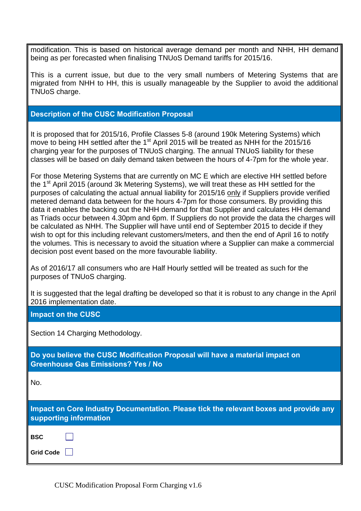modification. This is based on historical average demand per month and NHH, HH demand being as per forecasted when finalising TNUoS Demand tariffs for 2015/16.

This is a current issue, but due to the very small numbers of Metering Systems that are migrated from NHH to HH, this is usually manageable by the Supplier to avoid the additional TNUoS charge.

#### **Description of the CUSC Modification Proposal**

It is proposed that for 2015/16, Profile Classes 5-8 (around 190k Metering Systems) which move to being HH settled after the 1<sup>st</sup> April 2015 will be treated as NHH for the 2015/16 charging year for the purposes of TNUoS charging. The annual TNUoS liability for these classes will be based on daily demand taken between the hours of 4-7pm for the whole year.

For those Metering Systems that are currently on MC E which are elective HH settled before the 1<sup>st</sup> April 2015 (around 3k Metering Systems), we will treat these as HH settled for the purposes of calculating the actual annual liability for 2015/16 only if Suppliers provide verified metered demand data between for the hours 4-7pm for those consumers. By providing this data it enables the backing out the NHH demand for that Supplier and calculates HH demand as Triads occur between 4.30pm and 6pm. If Suppliers do not provide the data the charges will be calculated as NHH. The Supplier will have until end of September 2015 to decide if they wish to opt for this including relevant customers/meters, and then the end of April 16 to notify the volumes. This is necessary to avoid the situation where a Supplier can make a commercial decision post event based on the more favourable liability.

As of 2016/17 all consumers who are Half Hourly settled will be treated as such for the purposes of TNUoS charging.

It is suggested that the legal drafting be developed so that it is robust to any change in the April 2016 implementation date.

#### **Impact on the CUSC**

Section 14 Charging Methodology.

**Do you believe the CUSC Modification Proposal will have a material impact on Greenhouse Gas Emissions? Yes / No**

No.

**Impact on Core Industry Documentation. Please tick the relevant boxes and provide any supporting information**

**BSC Grid Code**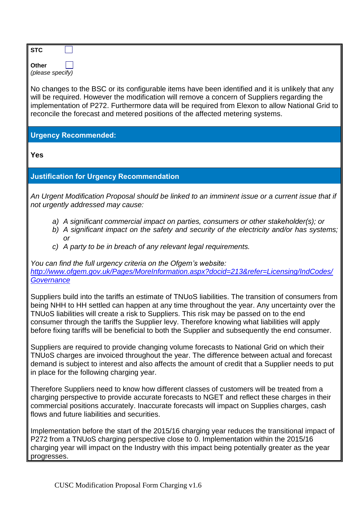| STC              |  |
|------------------|--|
| Other            |  |
| (please specify) |  |

No changes to the BSC or its configurable items have been identified and it is unlikely that any will be required. However the modification will remove a concern of Suppliers regarding the implementation of P272. Furthermore data will be required from Elexon to allow National Grid to reconcile the forecast and metered positions of the affected metering systems.

## **Urgency Recommended:**

**Yes**

## **Justification for Urgency Recommendation**

*An Urgent Modification Proposal should be linked to an imminent issue or a current issue that if not urgently addressed may cause:*

- *a) A significant commercial impact on parties, consumers or other stakeholder(s); or*
- *b) A significant impact on the safety and security of the electricity and/or has systems; or*
- *c) A party to be in breach of any relevant legal requirements.*

*You can find the full urgency criteria on the Ofgem's website: [http://www.ofgem.gov.uk/Pages/MoreInformation.aspx?docid=213&refer=Licensing/IndCodes/](http://www.ofgem.gov.uk/Pages/MoreInformation.aspx?docid=213&refer=Licensing/IndCodes/Governance) [Governance](http://www.ofgem.gov.uk/Pages/MoreInformation.aspx?docid=213&refer=Licensing/IndCodes/Governance)*

Suppliers build into the tariffs an estimate of TNUoS liabilities. The transition of consumers from being NHH to HH settled can happen at any time throughout the year. Any uncertainty over the TNUoS liabilities will create a risk to Suppliers. This risk may be passed on to the end consumer through the tariffs the Supplier levy. Therefore knowing what liabilities will apply before fixing tariffs will be beneficial to both the Supplier and subsequently the end consumer.

Suppliers are required to provide changing volume forecasts to National Grid on which their TNUoS charges are invoiced throughout the year. The difference between actual and forecast demand is subject to interest and also affects the amount of credit that a Supplier needs to put in place for the following charging year.

Therefore Suppliers need to know how different classes of customers will be treated from a charging perspective to provide accurate forecasts to NGET and reflect these charges in their commercial positions accurately. Inaccurate forecasts will impact on Supplies charges, cash flows and future liabilities and securities.

Implementation before the start of the 2015/16 charging year reduces the transitional impact of P272 from a TNUoS charging perspective close to 0. Implementation within the 2015/16 charging year will impact on the Industry with this impact being potentially greater as the year progresses.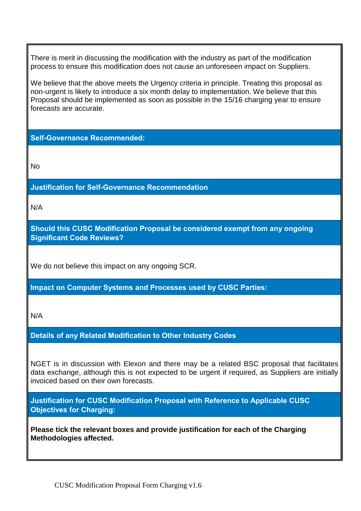There is merit in discussing the modification with the industry as part of the modification process to ensure this modification does not cause an unforeseen impact on Suppliers.

We believe that the above meets the Urgency criteria in principle. Treating this proposal as non-urgent is likely to introduce a six month delay to implementation. We believe that this Proposal should be implemented as soon as possible in the 15/16 charging year to ensure forecasts are accurate.

**Self-Governance Recommended:**

No

**Justification for Self-Governance Recommendation**

N/A

**Should this CUSC Modification Proposal be considered exempt from any ongoing Significant Code Reviews?**

We do not believe this impact on any ongoing SCR.

**Impact on Computer Systems and Processes used by CUSC Parties:**

N/A

**Details of any Related Modification to Other Industry Codes**

NGET is in discussion with Elexon and there may be a related BSC proposal that facilitates data exchange, although this is not expected to be urgent if required, as Suppliers are initially invoiced based on their own forecasts.

**Justification for CUSC Modification Proposal with Reference to Applicable CUSC Objectives for Charging:**

**Please tick the relevant boxes and provide justification for each of the Charging Methodologies affected.**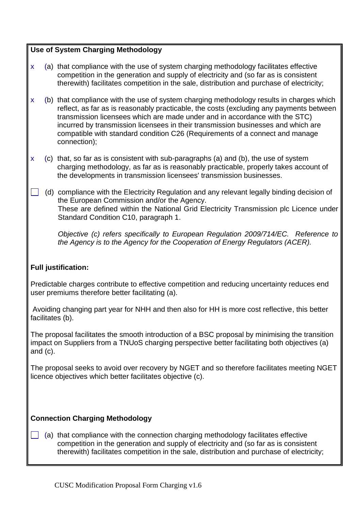## **Use of System Charging Methodology**

- x (a) that compliance with the use of system charging methodology facilitates effective competition in the generation and supply of electricity and (so far as is consistent therewith) facilitates competition in the sale, distribution and purchase of electricity;
- x (b) that compliance with the use of system charging methodology results in charges which reflect, as far as is reasonably practicable, the costs (excluding any payments between transmission licensees which are made under and in accordance with the STC) incurred by transmission licensees in their transmission businesses and which are compatible with standard condition C26 (Requirements of a connect and manage connection);
- x (c) that, so far as is consistent with sub-paragraphs (a) and (b), the use of system charging methodology, as far as is reasonably practicable, properly takes account of the developments in transmission licensees' transmission businesses.
	- (d) compliance with the Electricity Regulation and any relevant legally binding decision of the European Commission and/or the Agency. These are defined within the National Grid Electricity Transmission plc Licence under Standard Condition C10, paragraph 1.

*Objective (c) refers specifically to European Regulation 2009/714/EC. Reference to the Agency is to the Agency for the Cooperation of Energy Regulators (ACER).*

#### **Full justification:**

Predictable charges contribute to effective competition and reducing uncertainty reduces end user premiums therefore better facilitating (a).

Avoiding changing part year for NHH and then also for HH is more cost reflective, this better facilitates (b).

The proposal facilitates the smooth introduction of a BSC proposal by minimising the transition impact on Suppliers from a TNUoS charging perspective better facilitating both objectives (a) and (c).

The proposal seeks to avoid over recovery by NGET and so therefore facilitates meeting NGET licence objectives which better facilitates objective (c).

#### **Connection Charging Methodology**

 $\Box$  (a) that compliance with the connection charging methodology facilitates effective competition in the generation and supply of electricity and (so far as is consistent therewith) facilitates competition in the sale, distribution and purchase of electricity;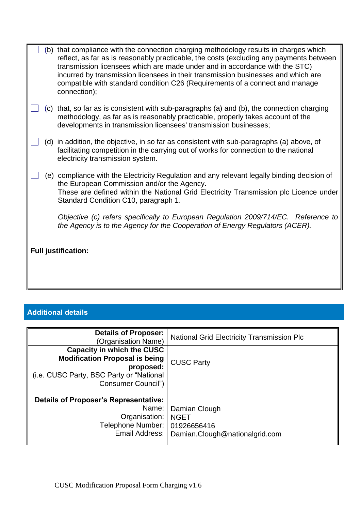|                            |  | (b) that compliance with the connection charging methodology results in charges which                                                                                                                                                                                                                                                                       |  |
|----------------------------|--|-------------------------------------------------------------------------------------------------------------------------------------------------------------------------------------------------------------------------------------------------------------------------------------------------------------------------------------------------------------|--|
|                            |  | reflect, as far as is reasonably practicable, the costs (excluding any payments between<br>transmission licensees which are made under and in accordance with the STC)<br>incurred by transmission licensees in their transmission businesses and which are<br>compatible with standard condition C26 (Requirements of a connect and manage<br>connection); |  |
|                            |  | (c) that, so far as is consistent with sub-paragraphs (a) and (b), the connection charging<br>methodology, as far as is reasonably practicable, properly takes account of the<br>developments in transmission licensees' transmission businesses;                                                                                                           |  |
|                            |  | (d) in addition, the objective, in so far as consistent with sub-paragraphs (a) above, of<br>facilitating competition in the carrying out of works for connection to the national<br>electricity transmission system.                                                                                                                                       |  |
|                            |  | (e) compliance with the Electricity Regulation and any relevant legally binding decision of<br>the European Commission and/or the Agency.<br>These are defined within the National Grid Electricity Transmission plc Licence under<br>Standard Condition C10, paragraph 1.                                                                                  |  |
|                            |  | Objective (c) refers specifically to European Regulation 2009/714/EC. Reference to<br>the Agency is to the Agency for the Cooperation of Energy Regulators (ACER).                                                                                                                                                                                          |  |
| <b>Full justification:</b> |  |                                                                                                                                                                                                                                                                                                                                                             |  |
|                            |  |                                                                                                                                                                                                                                                                                                                                                             |  |

# **Additional details**

| <b>Details of Proposer:</b><br>(Organisation Name)                                      | <b>National Grid Electricity Transmission Plc</b> |
|-----------------------------------------------------------------------------------------|---------------------------------------------------|
| <b>Capacity in which the CUSC</b><br><b>Modification Proposal is being</b><br>proposed: | <b>CUSC Party</b>                                 |
| (i.e. CUSC Party, BSC Party or "National"<br>Consumer Council")                         |                                                   |
| <b>Details of Proposer's Representative:</b>                                            |                                                   |
| Name:<br>Organisation:<br>Telephone Number:                                             | Damian Clough<br><b>NGET</b><br>01926656416       |
| Email Address:                                                                          | Damian.Clough@nationalgrid.com                    |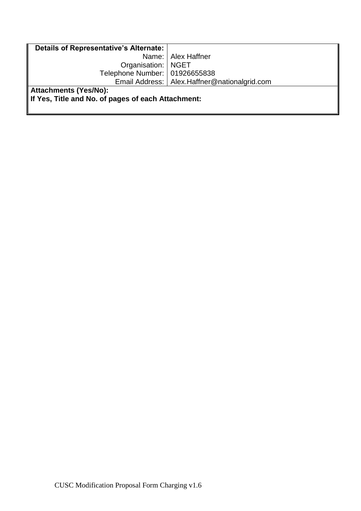| Details of Representative's Alternate:             |                                                |  |  |  |
|----------------------------------------------------|------------------------------------------------|--|--|--|
|                                                    | Name:   Alex Haffner                           |  |  |  |
| Organisation:   NGET                               |                                                |  |  |  |
| Telephone Number:   01926655838                    |                                                |  |  |  |
|                                                    | Email Address:   Alex.Haffner@nationalgrid.com |  |  |  |
| Attachments (Yes/No):                              |                                                |  |  |  |
| If Yes, Title and No. of pages of each Attachment: |                                                |  |  |  |